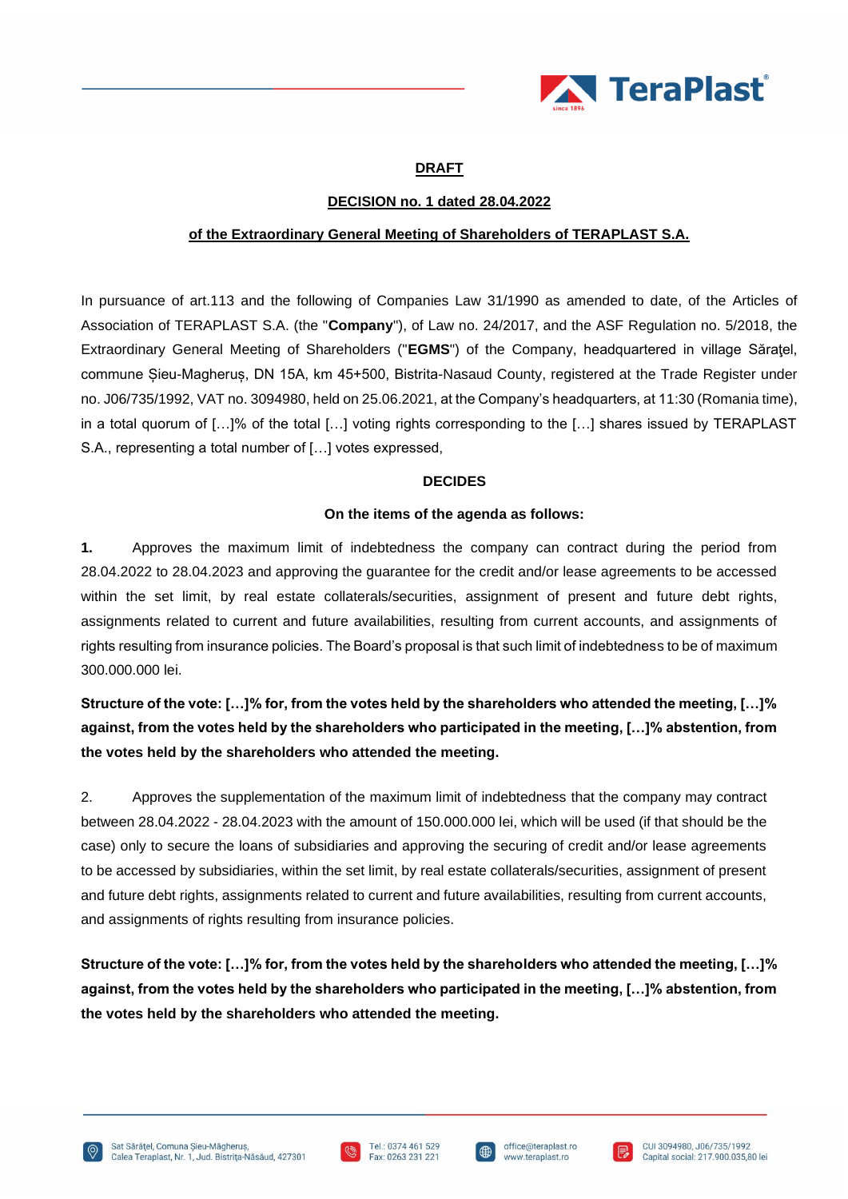

# **DRAFT**

## **DECISION no. 1 dated 28.04.2022**

### **of the Extraordinary General Meeting of Shareholders of TERAPLAST S.A.**

In pursuance of art.113 and the following of Companies Law 31/1990 as amended to date, of the Articles of Association of TERAPLAST S.A. (the "**Company**"), of Law no. 24/2017, and the ASF Regulation no. 5/2018, the Extraordinary General Meeting of Shareholders ("**EGMS**") of the Company, headquartered in village Săraţel, commune Șieu-Magheruș, DN 15A, km 45+500, Bistrita-Nasaud County, registered at the Trade Register under no. J06/735/1992, VAT no. 3094980, held on 25.06.2021, at the Company's headquarters, at 11:30 (Romania time), in a total quorum of […]% of the total […] voting rights corresponding to the […] shares issued by TERAPLAST S.A., representing a total number of […] votes expressed,

#### **DECIDES**

### **On the items of the agenda as follows:**

**1.** Approves the maximum limit of indebtedness the company can contract during the period from 28.04.2022 to 28.04.2023 and approving the guarantee for the credit and/or lease agreements to be accessed within the set limit, by real estate collaterals/securities, assignment of present and future debt rights, assignments related to current and future availabilities, resulting from current accounts, and assignments of rights resulting from insurance policies. The Board's proposal is that such limit of indebtedness to be of maximum 300.000.000 lei.

**Structure of the vote: […]% for, from the votes held by the shareholders who attended the meeting, […]% against, from the votes held by the shareholders who participated in the meeting, […]% abstention, from the votes held by the shareholders who attended the meeting.**

2. Approves the supplementation of the maximum limit of indebtedness that the company may contract between 28.04.2022 - 28.04.2023 with the amount of 150.000.000 lei, which will be used (if that should be the case) only to secure the loans of subsidiaries and approving the securing of credit and/or lease agreements to be accessed by subsidiaries, within the set limit, by real estate collaterals/securities, assignment of present and future debt rights, assignments related to current and future availabilities, resulting from current accounts, and assignments of rights resulting from insurance policies.

**Structure of the vote: […]% for, from the votes held by the shareholders who attended the meeting, […]% against, from the votes held by the shareholders who participated in the meeting, […]% abstention, from the votes held by the shareholders who attended the meeting.**





l ∰

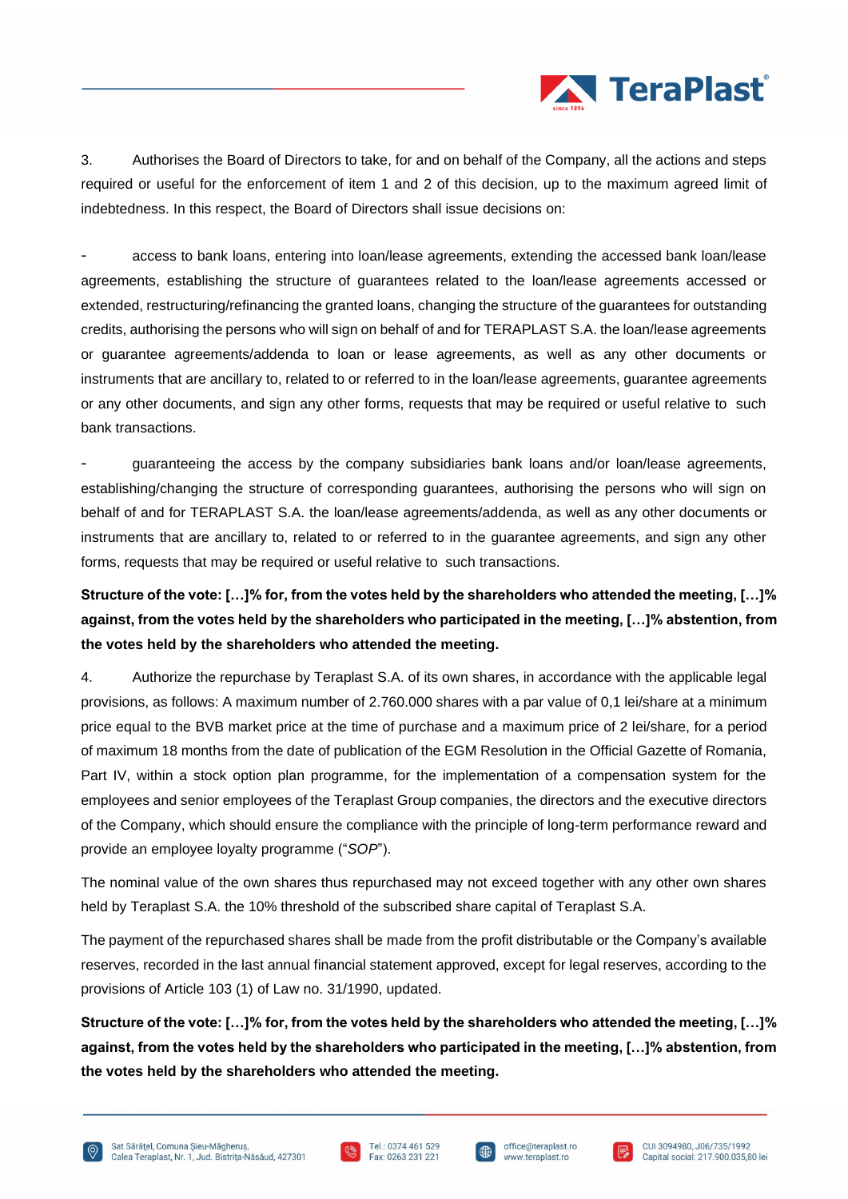

3. Authorises the Board of Directors to take, for and on behalf of the Company, all the actions and steps required or useful for the enforcement of item 1 and 2 of this decision, up to the maximum agreed limit of indebtedness. In this respect, the Board of Directors shall issue decisions on:

access to bank loans, entering into loan/lease agreements, extending the accessed bank loan/lease agreements, establishing the structure of guarantees related to the loan/lease agreements accessed or extended, restructuring/refinancing the granted loans, changing the structure of the guarantees for outstanding credits, authorising the persons who will sign on behalf of and for TERAPLAST S.A. the loan/lease agreements or guarantee agreements/addenda to loan or lease agreements, as well as any other documents or instruments that are ancillary to, related to or referred to in the loan/lease agreements, guarantee agreements or any other documents, and sign any other forms, requests that may be required or useful relative to such bank transactions.

- guaranteeing the access by the company subsidiaries bank loans and/or loan/lease agreements, establishing/changing the structure of corresponding guarantees, authorising the persons who will sign on behalf of and for TERAPLAST S.A. the loan/lease agreements/addenda, as well as any other documents or instruments that are ancillary to, related to or referred to in the guarantee agreements, and sign any other forms, requests that may be required or useful relative to such transactions.

**Structure of the vote: […]% for, from the votes held by the shareholders who attended the meeting, […]% against, from the votes held by the shareholders who participated in the meeting, […]% abstention, from the votes held by the shareholders who attended the meeting.**

4. Authorize the repurchase by Teraplast S.A. of its own shares, in accordance with the applicable legal provisions, as follows: A maximum number of 2.760.000 shares with a par value of 0,1 lei/share at a minimum price equal to the BVB market price at the time of purchase and a maximum price of 2 lei/share, for a period of maximum 18 months from the date of publication of the EGM Resolution in the Official Gazette of Romania, Part IV, within a stock option plan programme, for the implementation of a compensation system for the employees and senior employees of the Teraplast Group companies, the directors and the executive directors of the Company, which should ensure the compliance with the principle of long-term performance reward and provide an employee loyalty programme ("*SOP*").

The nominal value of the own shares thus repurchased may not exceed together with any other own shares held by Teraplast S.A. the 10% threshold of the subscribed share capital of Teraplast S.A.

The payment of the repurchased shares shall be made from the profit distributable or the Company's available reserves, recorded in the last annual financial statement approved, except for legal reserves, according to the provisions of Article 103 (1) of Law no. 31/1990, updated.

**Structure of the vote: […]% for, from the votes held by the shareholders who attended the meeting, […]% against, from the votes held by the shareholders who participated in the meeting, […]% abstention, from the votes held by the shareholders who attended the meeting.**





I⊕